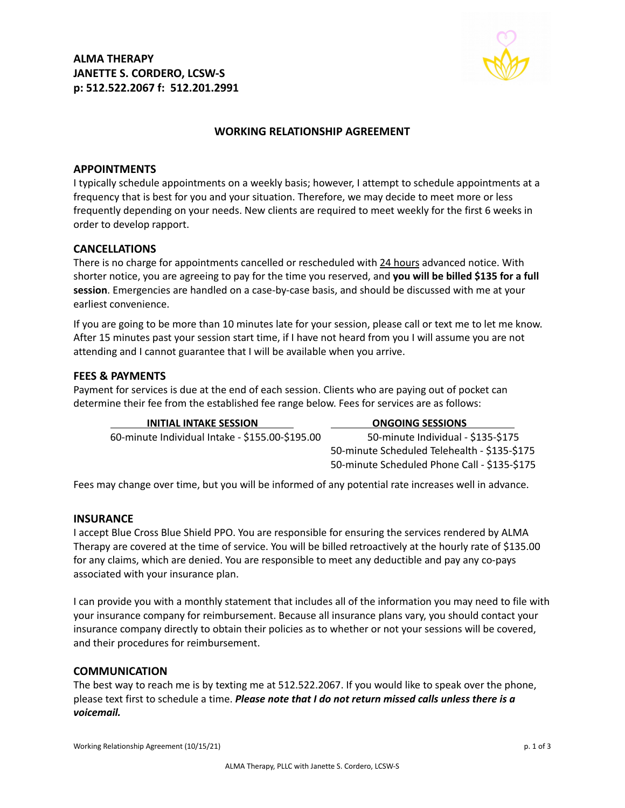**ALMA THERAPY JANETTE S. CORDERO, LCSW-S p: 512.522.2067 f: 512.201.2991**



## **WORKING RELATIONSHIP AGREEMENT**

#### **APPOINTMENTS**

I typically schedule appointments on a weekly basis; however, I attempt to schedule appointments at a frequency that is best for you and your situation. Therefore, we may decide to meet more or less frequently depending on your needs. New clients are required to meet weekly for the first 6 weeks in order to develop rapport.

#### **CANCELLATIONS**

There is no charge for appointments cancelled or rescheduled with 24 hours advanced notice. With shorter notice, you are agreeing to pay for the time you reserved, and **you will be billed \$135 for a full session**. Emergencies are handled on a case-by-case basis, and should be discussed with me at your earliest convenience.

If you are going to be more than 10 minutes late for your session, please call or text me to let me know. After 15 minutes past your session start time, if I have not heard from you I will assume you are not attending and I cannot guarantee that I will be available when you arrive.

#### **FEES & PAYMENTS**

Payment for services is due at the end of each session. Clients who are paying out of pocket can determine their fee from the established fee range below. Fees for services are as follows:

| <b>INITIAL INTAKE SESSION</b>                   | <b>ONGOING SESSIONS</b>                      |
|-------------------------------------------------|----------------------------------------------|
| 60-minute Individual Intake - \$155.00-\$195.00 | 50-minute Individual - \$135-\$175           |
|                                                 | 50-minute Scheduled Telehealth - \$135-\$175 |
|                                                 | 50-minute Scheduled Phone Call - \$135-\$175 |

Fees may change over time, but you will be informed of any potential rate increases well in advance.

#### **INSURANCE**

I accept Blue Cross Blue Shield PPO. You are responsible for ensuring the services rendered by ALMA Therapy are covered at the time of service. You will be billed retroactively at the hourly rate of \$135.00 for any claims, which are denied. You are responsible to meet any deductible and pay any co-pays associated with your insurance plan.

I can provide you with a monthly statement that includes all of the information you may need to file with your insurance company for reimbursement. Because all insurance plans vary, you should contact your insurance company directly to obtain their policies as to whether or not your sessions will be covered, and their procedures for reimbursement.

#### **COMMUNICATION**

The best way to reach me is by texting me at 512.522.2067. If you would like to speak over the phone, please text first to schedule a time. *Please note that I do not return missed calls unless there is a voicemail.*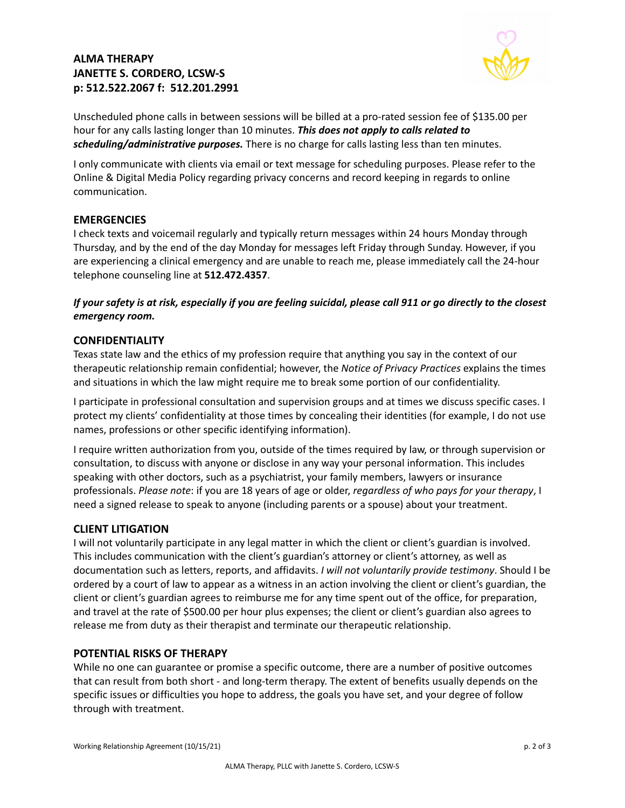# **ALMA THERAPY JANETTE S. CORDERO, LCSW-S p: 512.522.2067 f: 512.201.2991**



Unscheduled phone calls in between sessions will be billed at a pro-rated session fee of \$135.00 per hour for any calls lasting longer than 10 minutes. *This does not apply to calls related to scheduling/administrative purposes.* There is no charge for calls lasting less than ten minutes.

I only communicate with clients via email or text message for scheduling purposes. Please refer to the Online & Digital Media Policy regarding privacy concerns and record keeping in regards to online communication.

## **EMERGENCIES**

I check texts and voicemail regularly and typically return messages within 24 hours Monday through Thursday, and by the end of the day Monday for messages left Friday through Sunday. However, if you are experiencing a clinical emergency and are unable to reach me, please immediately call the 24-hour telephone counseling line at **512.472.4357**.

If your safety is at risk, especially if you are feeling suicidal, please call 911 or go directly to the closest *emergency room.*

## **CONFIDENTIALITY**

Texas state law and the ethics of my profession require that anything you say in the context of our therapeutic relationship remain confidential; however, the *Notice of Privacy Practices* explains the times and situations in which the law might require me to break some portion of our confidentiality.

I participate in professional consultation and supervision groups and at times we discuss specific cases. I protect my clients' confidentiality at those times by concealing their identities (for example, I do not use names, professions or other specific identifying information).

I require written authorization from you, outside of the times required by law, or through supervision or consultation, to discuss with anyone or disclose in any way your personal information. This includes speaking with other doctors, such as a psychiatrist, your family members, lawyers or insurance professionals. *Please note*: if you are 18 years of age or older, *regardless of who pays for your therapy*, I need a signed release to speak to anyone (including parents or a spouse) about your treatment.

## **CLIENT LITIGATION**

I will not voluntarily participate in any legal matter in which the client or client's guardian is involved. This includes communication with the client's guardian's attorney or client's attorney, as well as documentation such as letters, reports, and affidavits. *I will not voluntarily provide testimony*. Should I be ordered by a court of law to appear as a witness in an action involving the client or client's guardian, the client or client's guardian agrees to reimburse me for any time spent out of the office, for preparation, and travel at the rate of \$500.00 per hour plus expenses; the client or client's guardian also agrees to release me from duty as their therapist and terminate our therapeutic relationship.

## **POTENTIAL RISKS OF THERAPY**

While no one can guarantee or promise a specific outcome, there are a number of positive outcomes that can result from both short - and long-term therapy. The extent of benefits usually depends on the specific issues or difficulties you hope to address, the goals you have set, and your degree of follow through with treatment.